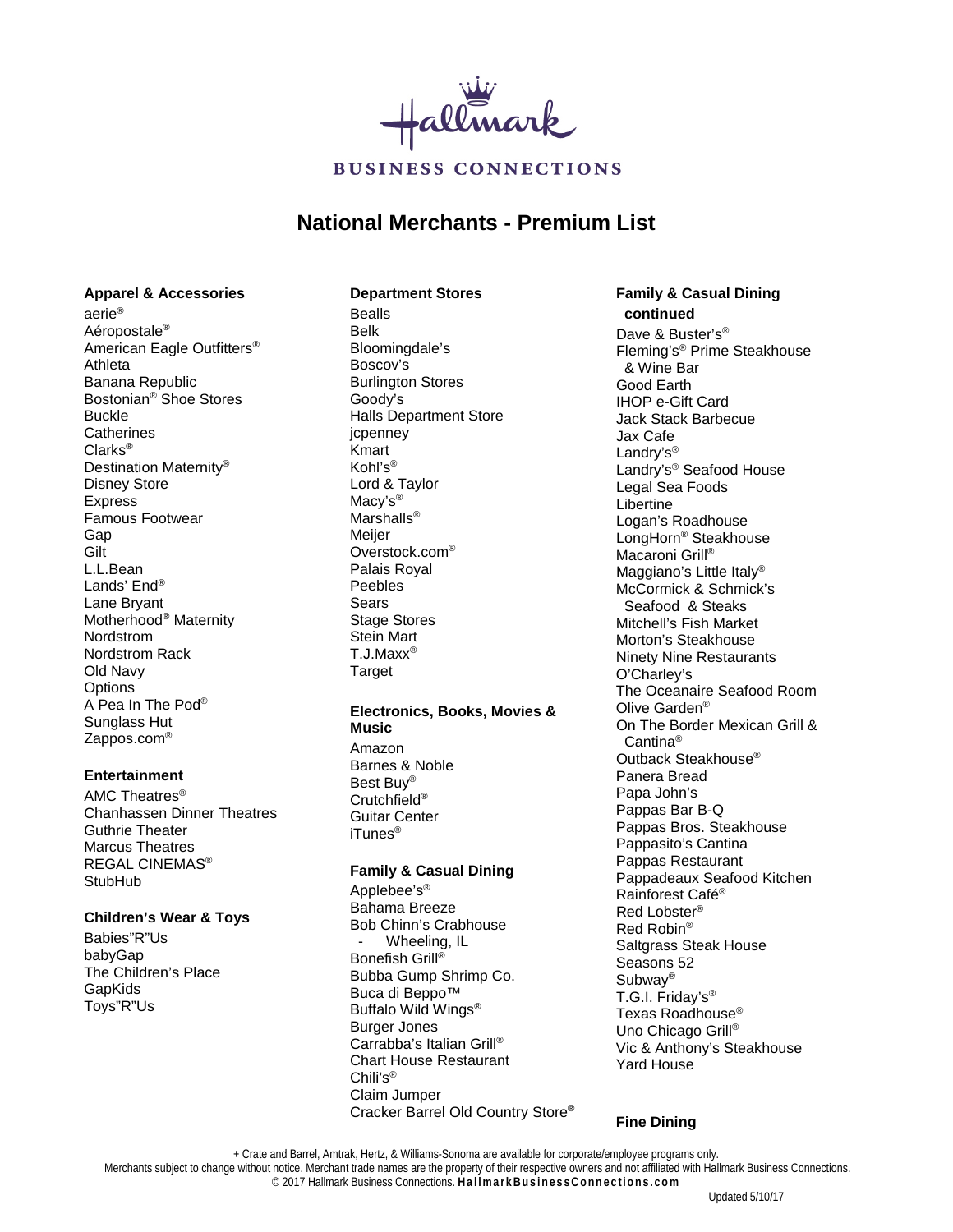

# **National Merchants - Premium List**

### **Apparel & Accessories**

aerie® Aéropostale® American Eagle Outfitters® Athleta Banana Republic Bostonian® Shoe Stores Buckle **Catherines** Clarks® Destination Maternity® Disney Store Express Famous Footwear Gap **Gilt** L.L.Bean Lands' End® Lane Bryant Motherhood® Maternity Nordstrom Nordstrom Rack Old Navy **Options** A Pea In The Pod® Sunglass Hut Zappos.com®

## **Entertainment**

AMC Theatres® Chanhassen Dinner Theatres Guthrie Theater Marcus Theatres REGAL CINEMAS® **StubHub** 

### **Children's Wear & Toys**

Babies"R"Us babyGap The Children's Place GapKids Toys"R"Us

### **Department Stores**

Bealls Belk Bloomingdale's Boscov's Burlington Stores Goody's Halls Department Store jcpenney Kmart Kohl's® Lord & Taylor Macy's® Marshalls<sup>®</sup> **Meijer** Overstock.com® Palais Royal Peebles Sears Stage Stores Stein Mart T.J.Maxx® **Target** 

## **Electronics, Books, Movies &**

**Music** Amazon Barnes & Noble Best Buy® Crutchfield® Guitar Center iTunes®

## **Family & Casual Dining**

Applebee's® Bahama Breeze Bob Chinn's Crabhouse Wheeling, IL Bonefish Grill<sup>®</sup> Bubba Gump Shrimp Co. Buca di Beppo™ Buffalo Wild Wings® Burger Jones Carrabba's Italian Grill® Chart House Restaurant Chili's® Claim Jumper Cracker Barrel Old Country Store®

### **Family & Casual Dining continued**

Dave & Buster's<sup>®</sup> Fleming's® Prime Steakhouse & Wine Bar Good Earth IHOP e-Gift Card Jack Stack Barbecue Jax Cafe Landry's<sup>®</sup> Landry's® Seafood House Legal Sea Foods **Libertine** Logan's Roadhouse LongHorn® Steakhouse Macaroni Grill<sup>®</sup> Maggiano's Little Italy<sup>®</sup> McCormick & Schmick's Seafood & Steaks Mitchell's Fish Market Morton's Steakhouse Ninety Nine Restaurants O'Charley's The Oceanaire Seafood Room Olive Garden® On The Border Mexican Grill & Cantina® Outback Steakhouse® Panera Bread Papa John's Pappas Bar B-Q Pappas Bros. Steakhouse Pappasito's Cantina Pappas Restaurant Pappadeaux Seafood Kitchen Rainforest Café® Red Lobster® Red Robin® Saltgrass Steak House Seasons 52 Subway® T.G.I. Friday's® Texas Roadhouse® Uno Chicago Grill® Vic & Anthony's Steakhouse Yard House

## **Fine Dining**

+ Crate and Barrel, Amtrak, Hertz, & Williams-Sonoma are available for corporate/employee programs only.

Merchants subject to change without notice. Merchant trade names are the property of their respective owners and not affiliated with Hallmark Business Connections.

© 2017 Hallmark Business Connections. **HallmarkBusinessConnections.com**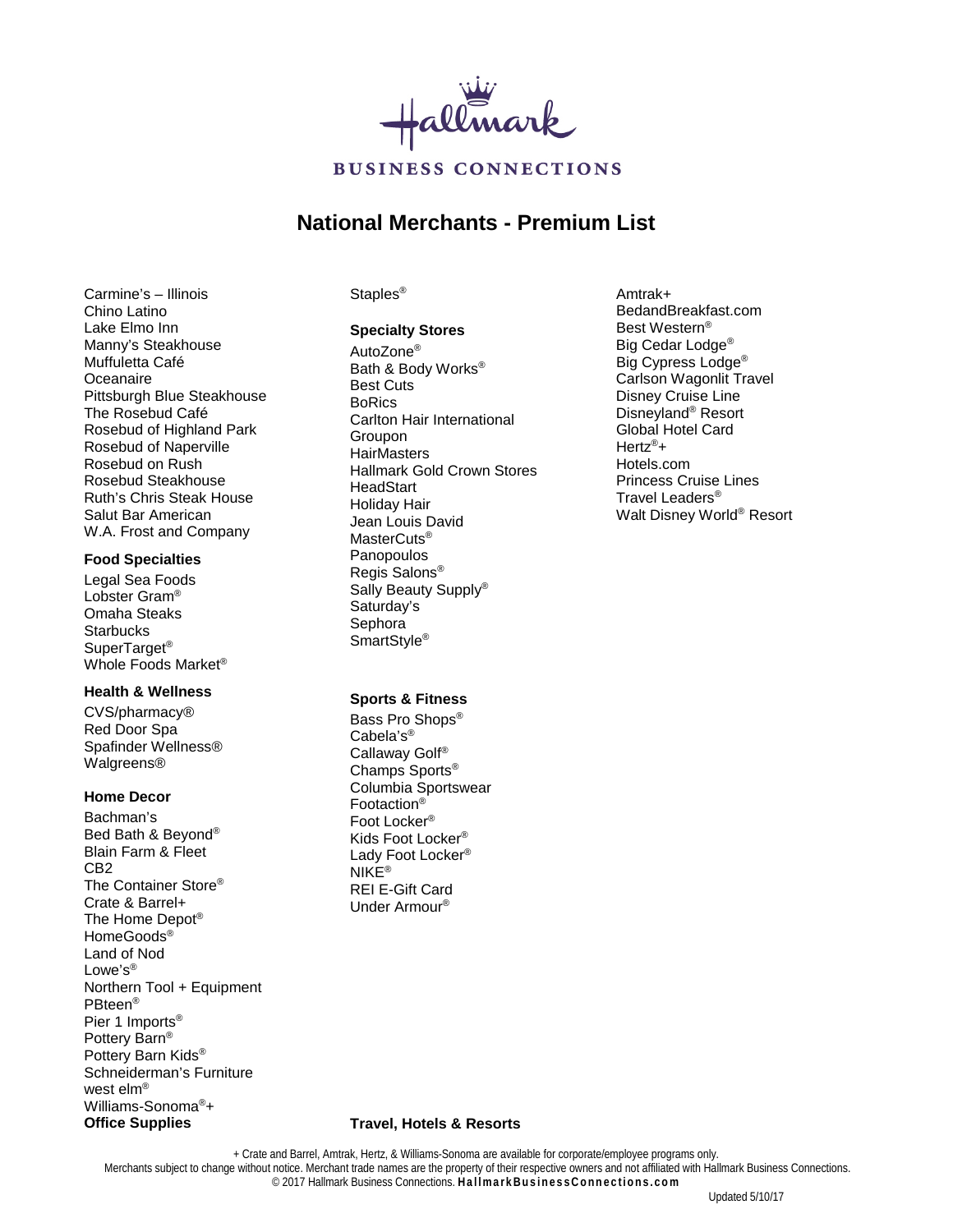

# **National Merchants - Premium List**

Carmine's – Illinois Chino Latino Lake Elmo Inn Manny's Steakhouse Muffuletta Café Oceanaire Pittsburgh Blue Steakhouse The Rosebud Café Rosebud of Highland Park Rosebud of Naperville Rosebud on Rush Rosebud Steakhouse Ruth's Chris Steak House Salut Bar American W.A. Frost and Company

### **Food Specialties**

Legal Sea Foods Lobster Gram® Omaha Steaks **Starbucks** SuperTarget® Whole Foods Market®

## **Health & Wellness**

CVS/pharmacy® Red Door Spa Spafinder Wellness® Walgreens®

## **Home Decor**

Bachman's Bed Bath & Beyond® Blain Farm & Fleet CB2 The Container Store® Crate & Barrel+ The Home Depot® HomeGoods® Land of Nod Lowe's<sup>®</sup> Northern Tool + Equipment PBteen® Pier 1 Imports® Pottery Barn® Pottery Barn Kids® Schneiderman's Furniture west elm® Williams-Sonoma®+ **Office Supplies**

#### Staples<sup>®</sup>

#### **Specialty Stores**

AutoZone® Bath & Body Works® Best Cuts BoRics Carlton Hair International Groupon **HairMasters** Hallmark Gold Crown Stores **HeadStart** Holiday Hair Jean Louis David MasterCuts® Panopoulos Regis Salons® Sally Beauty Supply® Saturday's Sephora SmartStyle<sup>®</sup>

BedandBreakfast.com Best Western® Big Cedar Lodge<sup>®</sup> Big Cypress Lodge® Carlson Wagonlit Travel Disney Cruise Line Disneyland<sup>®</sup> Resort Global Hotel Card Hertz®+ Hotels.com Princess Cruise Lines Travel Leaders® Walt Disney World® Resort

Amtrak+

### **Sports & Fitness**

Bass Pro Shops® Cabela's® Callaway Golf® Champs Sports® Columbia Sportswear Footaction® Foot Locker® Kids Foot Locker® Lady Foot Locker® NIKF<sup>®</sup> REI E-Gift Card Under Armour®

#### **Travel, Hotels & Resorts**

+ Crate and Barrel, Amtrak, Hertz, & Williams-Sonoma are available for corporate/employee programs only. Merchants subject to change without notice. Merchant trade names are the property of their respective owners and not affiliated with Hallmark Business Connections. © 2017 Hallmark Business Connections. **HallmarkBusinessConnections.com**